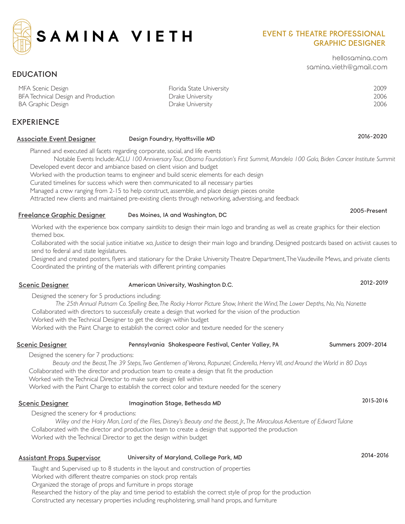

## EVENT & THEATRE PROFESSIONAL GRAPHIC DESIGNER

hellosamina.com samina.vieth@gmail.com

# MFA Scenic Design Florida State University 2009 BFA Technical Design and Production Drake University 2006 BA Graphic Design 2006

### EXPERIENCE

EDUCATION

# Associate Event Designer **Design Foundry, Hyattsville MD** 2016-2020

Planned and executed all facets regarding corporate, social, and life events

Notable Events Include*: ACLU 100 Anniversary Tour, Obama Foundation's First Summit, Mandela 100 Gala, Biden Cancer Institute Summit*  Developed event decor and ambiance based on client vision and budget

Worked with the production teams to engineer and build scenic elements for each design

Curated timelines for success which were then communicated to all necessary parties

Managed a crew ranging from 2-15 to help construct, assemble, and place design pieces onsite

Attracted new clients and maintained pre-existing clients through networking, adverstising, and feedback

# Freelance Graphic Designer Des Moines, IA and Washington, DC 2005-Present

Worked with the experience box company saintkits to design their main logo and branding as well as create graphics for their election themed box.

Collaborated with the social justice initiatve xo, Justice to design their main logo and branding. Designed postcards based on activist causes to send to federal and state legislatures.

Designed and created posters, flyers and stationary for the Drake University Theatre Department, The Vaudeville Mews, and private clients Coordinated the printing of the materials with different printing companies

Designed the scenery for 5 productions including: *The 25th Annual Putnam Co. Spelling Bee, The Rocky Horror Picture Show, Inherit the Wind, The Lower Depths, No, No, Nanette* Collaborated with directors to successfully create a design that worked for the vision of the production

Worked with the Technical Designer to get the design within budget

Worked with the Paint Charge to establish the correct color and texture needed for the scenery

### Summers 2009-2014 Scenic Designer **Pennsylvania Shakespeare Festival, Center** Valley, PA

Designed the scenery for 7 productions:

*Beauty and the Beast, The 39 Steps, Two Gentlemen of Verona, Rapunzel, Cinderella, Henry VII, and Around the World in 80 Days* Collaborated with the director and production team to create a design that fit the production Worked with the Technical Director to make sure design fell within Worked with the Paint Charge to establish the correct color and texture needed for the scenery

# Scenic Designer and Imagination Stage, Bethesda MD 2015-2016

Designed the scenery for 4 productions: *Wiley and the Hairy Man, Lord of the Flies, Disney's Beauty and the Beast, Jr., The Miraculous Adventure of Edward Tulane*

Collaborated with the director and production team to create a design that supported the production Worked with the Technical Director to get the design within budget

# Assistant Props Supervisor University of Maryland, College Park, MD 2014-2016

Taught and Supervised up to 8 students in the layout and construction of properties

Worked with different theatre companies on stock prop rentals

Organized the storage of props and furniture in props storage

Researched the history of the play and time period to establish the correct style of prop for the production

Constructed any necessary properties including reupholstering, small hand props, and furniture

### Scenic Designer **American University, Washington D.C.** 2012-2019 2012-2019